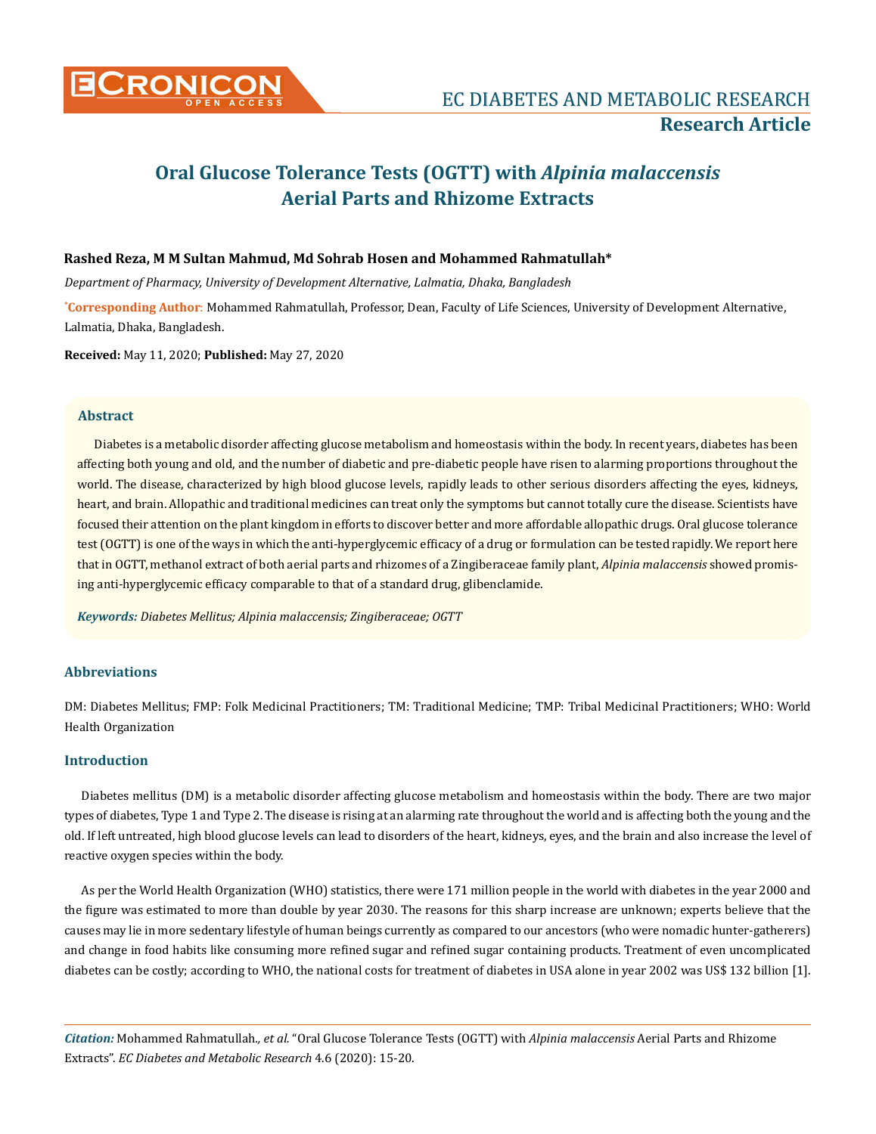

# **Oral Glucose Tolerance Tests (OGTT) with** *Alpinia malaccensis* **Aerial Parts and Rhizome Extracts**

## **Rashed Reza, M M Sultan Mahmud, Md Sohrab Hosen and Mohammed Rahmatullah\***

*Department of Pharmacy, University of Development Alternative, Lalmatia, Dhaka, Bangladesh*

**\* Corresponding Author**: Mohammed Rahmatullah, Professor, Dean, Faculty of Life Sciences, University of Development Alternative, Lalmatia, Dhaka, Bangladesh.

**Received:** May 11, 2020; **Published:** May 27, 2020

# **Abstract**

Diabetes is a metabolic disorder affecting glucose metabolism and homeostasis within the body. In recent years, diabetes has been affecting both young and old, and the number of diabetic and pre-diabetic people have risen to alarming proportions throughout the world. The disease, characterized by high blood glucose levels, rapidly leads to other serious disorders affecting the eyes, kidneys, heart, and brain. Allopathic and traditional medicines can treat only the symptoms but cannot totally cure the disease. Scientists have focused their attention on the plant kingdom in efforts to discover better and more affordable allopathic drugs. Oral glucose tolerance test (OGTT) is one of the ways in which the anti-hyperglycemic efficacy of a drug or formulation can be tested rapidly. We report here that in OGTT, methanol extract of both aerial parts and rhizomes of a Zingiberaceae family plant, *Alpinia malaccensis* showed promising anti-hyperglycemic efficacy comparable to that of a standard drug, glibenclamide.

*Keywords: Diabetes Mellitus; Alpinia malaccensis; Zingiberaceae; OGTT*

# **Abbreviations**

DM: Diabetes Mellitus; FMP: Folk Medicinal Practitioners; TM: Traditional Medicine; TMP: Tribal Medicinal Practitioners; WHO: World Health Organization

#### **Introduction**

Diabetes mellitus (DM) is a metabolic disorder affecting glucose metabolism and homeostasis within the body. There are two major types of diabetes, Type 1 and Type 2. The disease is rising at an alarming rate throughout the world and is affecting both the young and the old. If left untreated, high blood glucose levels can lead to disorders of the heart, kidneys, eyes, and the brain and also increase the level of reactive oxygen species within the body.

As per the World Health Organization (WHO) statistics, there were 171 million people in the world with diabetes in the year 2000 and the figure was estimated to more than double by year 2030. The reasons for this sharp increase are unknown; experts believe that the causes may lie in more sedentary lifestyle of human beings currently as compared to our ancestors (who were nomadic hunter-gatherers) and change in food habits like consuming more refined sugar and refined sugar containing products. Treatment of even uncomplicated diabetes can be costly; according to WHO, the national costs for treatment of diabetes in USA alone in year 2002 was US\$ 132 billion [1].

*Citation:* Mohammed Rahmatullah*., et al.* "Oral Glucose Tolerance Tests (OGTT) with *Alpinia malaccensis* Aerial Parts and Rhizome Extracts". *EC Diabetes and Metabolic Research* 4.6 (2020): 15-20.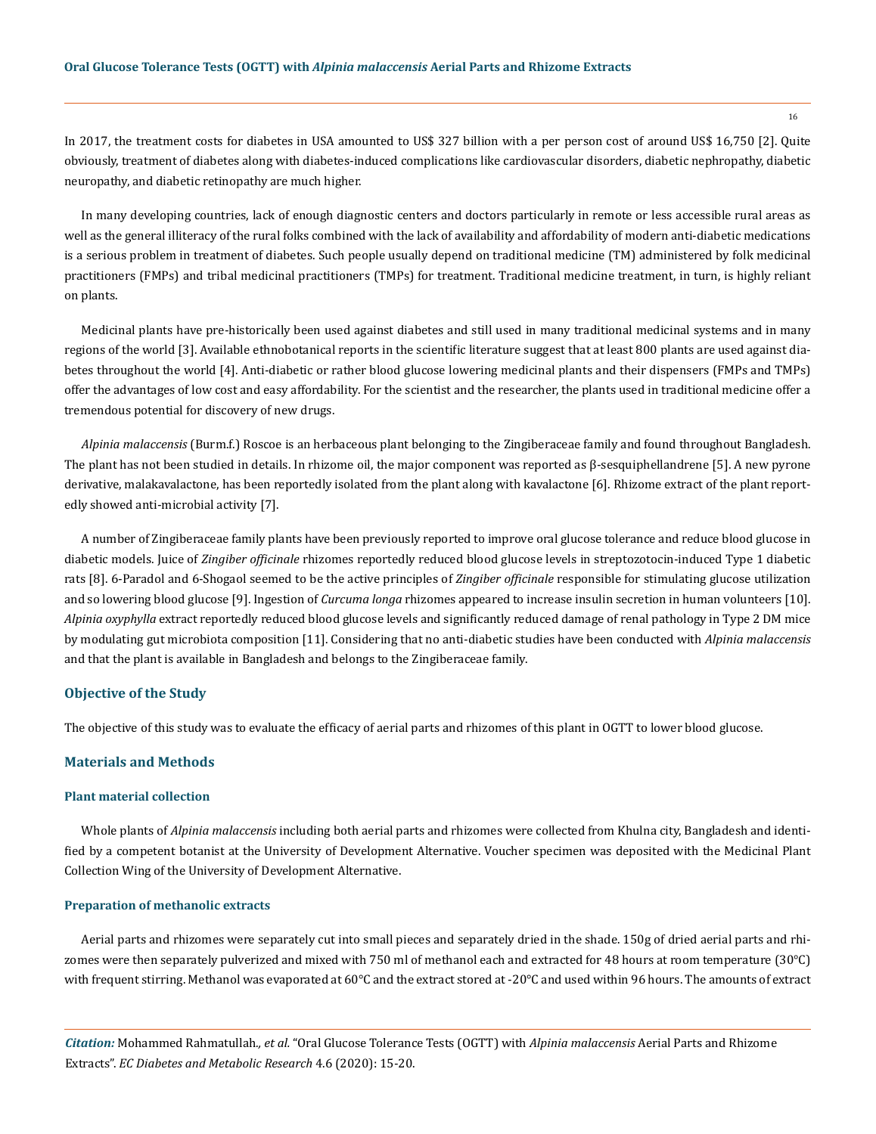In 2017, the treatment costs for diabetes in USA amounted to US\$ 327 billion with a per person cost of around US\$ 16,750 [2]. Quite obviously, treatment of diabetes along with diabetes-induced complications like cardiovascular disorders, diabetic nephropathy, diabetic neuropathy, and diabetic retinopathy are much higher.

In many developing countries, lack of enough diagnostic centers and doctors particularly in remote or less accessible rural areas as well as the general illiteracy of the rural folks combined with the lack of availability and affordability of modern anti-diabetic medications is a serious problem in treatment of diabetes. Such people usually depend on traditional medicine (TM) administered by folk medicinal practitioners (FMPs) and tribal medicinal practitioners (TMPs) for treatment. Traditional medicine treatment, in turn, is highly reliant on plants.

Medicinal plants have pre-historically been used against diabetes and still used in many traditional medicinal systems and in many regions of the world [3]. Available ethnobotanical reports in the scientific literature suggest that at least 800 plants are used against diabetes throughout the world [4]. Anti-diabetic or rather blood glucose lowering medicinal plants and their dispensers (FMPs and TMPs) offer the advantages of low cost and easy affordability. For the scientist and the researcher, the plants used in traditional medicine offer a tremendous potential for discovery of new drugs.

*Alpinia malaccensis* (Burm.f.) Roscoe is an herbaceous plant belonging to the Zingiberaceae family and found throughout Bangladesh. The plant has not been studied in details. In rhizome oil, the major component was reported as β-sesquiphellandrene [5]. A new pyrone derivative, malakavalactone, has been reportedly isolated from the plant along with kavalactone [6]. Rhizome extract of the plant reportedly showed anti-microbial activity [7].

A number of Zingiberaceae family plants have been previously reported to improve oral glucose tolerance and reduce blood glucose in diabetic models. Juice of *Zingiber officinale* rhizomes reportedly reduced blood glucose levels in streptozotocin-induced Type 1 diabetic rats [8]. 6-Paradol and 6-Shogaol seemed to be the active principles of *Zingiber officinale* responsible for stimulating glucose utilization and so lowering blood glucose [9]. Ingestion of *Curcuma longa* rhizomes appeared to increase insulin secretion in human volunteers [10]. *Alpinia oxyphylla* extract reportedly reduced blood glucose levels and significantly reduced damage of renal pathology in Type 2 DM mice by modulating gut microbiota composition [11]. Considering that no anti-diabetic studies have been conducted with *Alpinia malaccensis* and that the plant is available in Bangladesh and belongs to the Zingiberaceae family.

### **Objective of the Study**

The objective of this study was to evaluate the efficacy of aerial parts and rhizomes of this plant in OGTT to lower blood glucose.

### **Materials and Methods**

#### **Plant material collection**

Whole plants of *Alpinia malaccensis* including both aerial parts and rhizomes were collected from Khulna city, Bangladesh and identified by a competent botanist at the University of Development Alternative. Voucher specimen was deposited with the Medicinal Plant Collection Wing of the University of Development Alternative.

#### **Preparation of methanolic extracts**

Aerial parts and rhizomes were separately cut into small pieces and separately dried in the shade. 150g of dried aerial parts and rhizomes were then separately pulverized and mixed with 750 ml of methanol each and extracted for 48 hours at room temperature (30°C) with frequent stirring. Methanol was evaporated at 60°C and the extract stored at -20°C and used within 96 hours. The amounts of extract

*Citation:* Mohammed Rahmatullah*., et al.* "Oral Glucose Tolerance Tests (OGTT) with *Alpinia malaccensis* Aerial Parts and Rhizome Extracts". *EC Diabetes and Metabolic Research* 4.6 (2020): 15-20.

16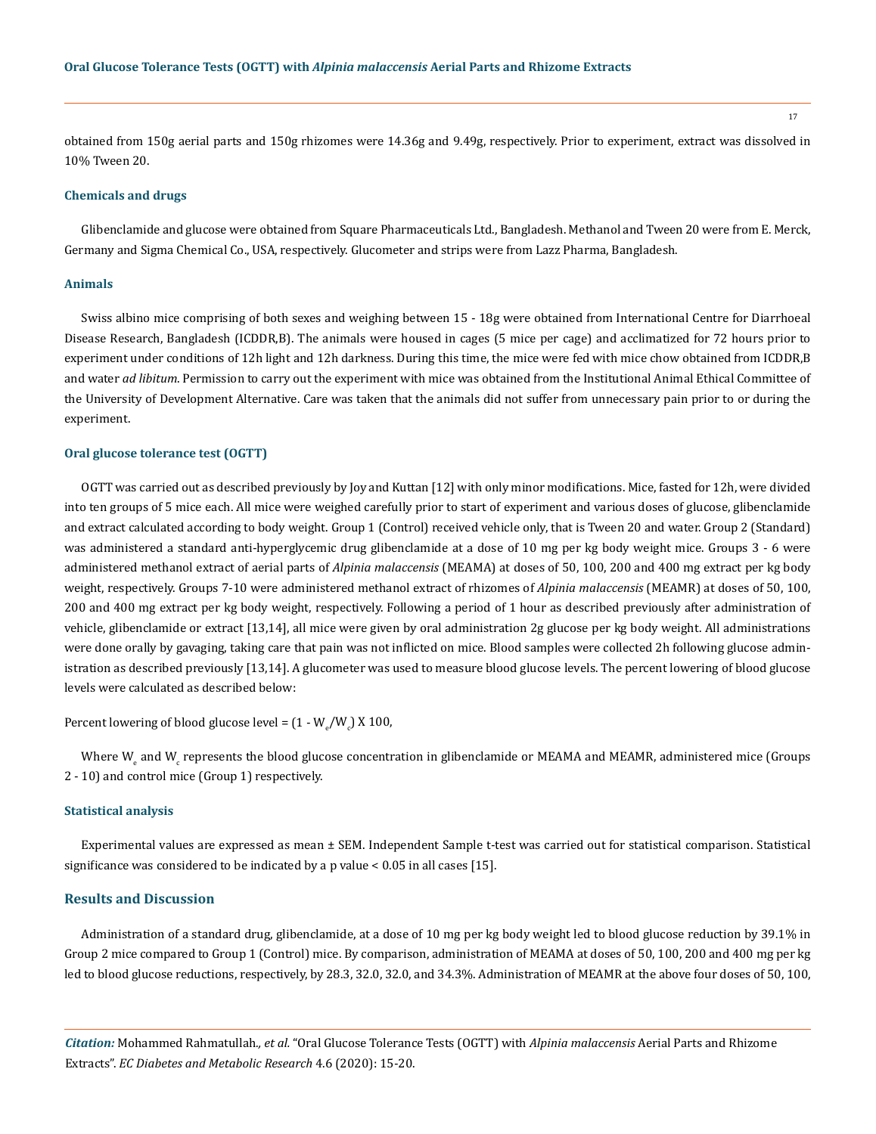17

obtained from 150g aerial parts and 150g rhizomes were 14.36g and 9.49g, respectively. Prior to experiment, extract was dissolved in 10% Tween 20.

#### **Chemicals and drugs**

Glibenclamide and glucose were obtained from Square Pharmaceuticals Ltd., Bangladesh. Methanol and Tween 20 were from E. Merck, Germany and Sigma Chemical Co., USA, respectively. Glucometer and strips were from Lazz Pharma, Bangladesh.

#### **Animals**

Swiss albino mice comprising of both sexes and weighing between 15 - 18g were obtained from International Centre for Diarrhoeal Disease Research, Bangladesh (ICDDR,B). The animals were housed in cages (5 mice per cage) and acclimatized for 72 hours prior to experiment under conditions of 12h light and 12h darkness. During this time, the mice were fed with mice chow obtained from ICDDR,B and water *ad libitum*. Permission to carry out the experiment with mice was obtained from the Institutional Animal Ethical Committee of the University of Development Alternative. Care was taken that the animals did not suffer from unnecessary pain prior to or during the experiment.

#### **Oral glucose tolerance test (OGTT)**

OGTT was carried out as described previously by Joy and Kuttan [12] with only minor modifications. Mice, fasted for 12h, were divided into ten groups of 5 mice each. All mice were weighed carefully prior to start of experiment and various doses of glucose, glibenclamide and extract calculated according to body weight. Group 1 (Control) received vehicle only, that is Tween 20 and water. Group 2 (Standard) was administered a standard anti-hyperglycemic drug glibenclamide at a dose of 10 mg per kg body weight mice. Groups 3 - 6 were administered methanol extract of aerial parts of *Alpinia malaccensis* (MEAMA) at doses of 50, 100, 200 and 400 mg extract per kg body weight, respectively. Groups 7-10 were administered methanol extract of rhizomes of *Alpinia malaccensis* (MEAMR) at doses of 50, 100, 200 and 400 mg extract per kg body weight, respectively. Following a period of 1 hour as described previously after administration of vehicle, glibenclamide or extract [13,14], all mice were given by oral administration 2g glucose per kg body weight. All administrations were done orally by gavaging, taking care that pain was not inflicted on mice. Blood samples were collected 2h following glucose administration as described previously [13,14]. A glucometer was used to measure blood glucose levels. The percent lowering of blood glucose levels were calculated as described below:

Percent lowering of blood glucose level =  $(1$  -  $\mathsf{W}_{_{\mathrm{e}}}/\mathsf{W}_{_{\mathrm{e}}})$  X  $100$ ,

Where W<sub>e</sub> and W<sub>e</sub> represents the blood glucose concentration in glibenclamide or MEAMA and MEAMK, administered mice (Groups 2 - 10) and control mice (Group 1) respectively.

#### **Statistical analysis**

Experimental values are expressed as mean ± SEM. Independent Sample t-test was carried out for statistical comparison. Statistical significance was considered to be indicated by a p value < 0.05 in all cases [15].

#### **Results and Discussion**

Administration of a standard drug, glibenclamide, at a dose of 10 mg per kg body weight led to blood glucose reduction by 39.1% in Group 2 mice compared to Group 1 (Control) mice. By comparison, administration of MEAMA at doses of 50, 100, 200 and 400 mg per kg led to blood glucose reductions, respectively, by 28.3, 32.0, 32.0, and 34.3%. Administration of MEAMR at the above four doses of 50, 100,

*Citation:* Mohammed Rahmatullah*., et al.* "Oral Glucose Tolerance Tests (OGTT) with *Alpinia malaccensis* Aerial Parts and Rhizome Extracts". *EC Diabetes and Metabolic Research* 4.6 (2020): 15-20.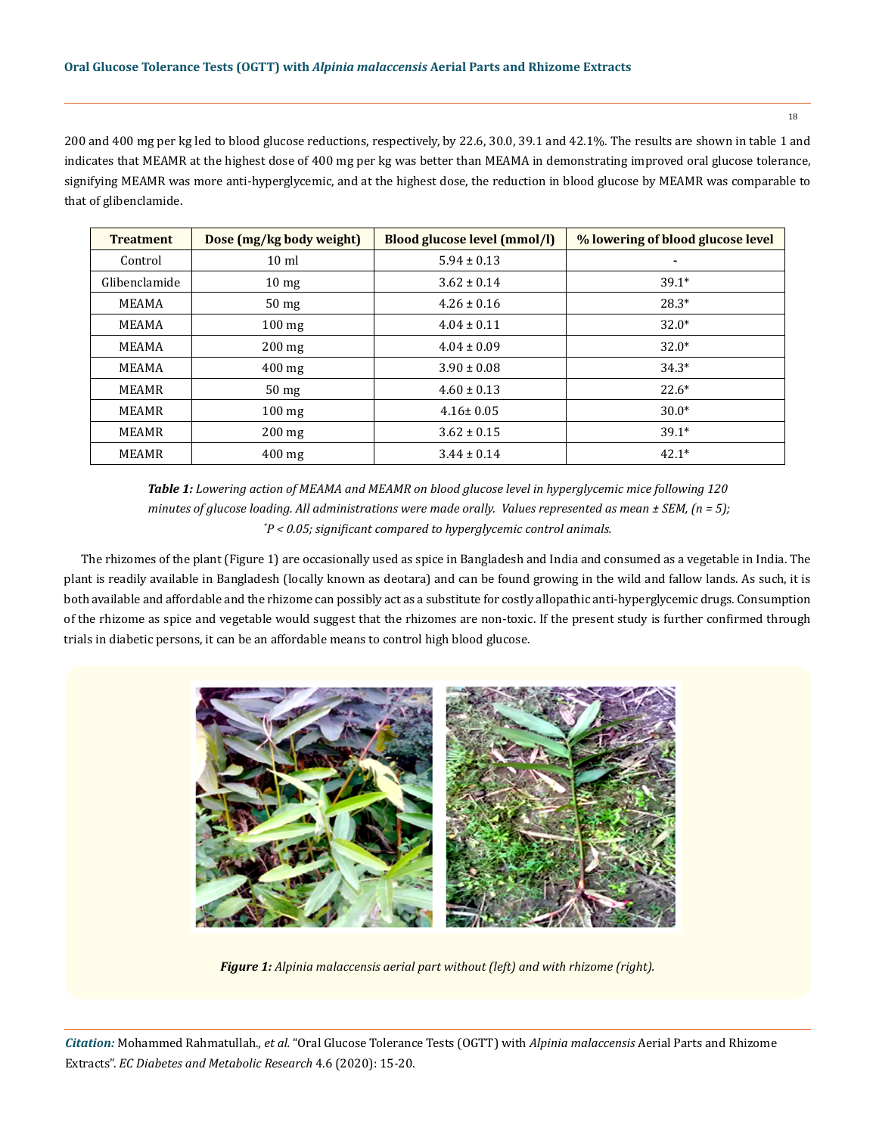200 and 400 mg per kg led to blood glucose reductions, respectively, by 22.6, 30.0, 39.1 and 42.1%. The results are shown in table 1 and indicates that MEAMR at the highest dose of 400 mg per kg was better than MEAMA in demonstrating improved oral glucose tolerance, signifying MEAMR was more anti-hyperglycemic, and at the highest dose, the reduction in blood glucose by MEAMR was comparable to that of glibenclamide.

| <b>Treatment</b> | Dose (mg/kg body weight) | Blood glucose level (mmol/l) | % lowering of blood glucose level |
|------------------|--------------------------|------------------------------|-----------------------------------|
| Control          | $10 \text{ ml}$          | $5.94 \pm 0.13$              | ۰                                 |
| Glibenclamide    | $10 \text{ mg}$          | $3.62 \pm 0.14$              | $39.1*$                           |
| MEAMA            | 50 <sub>mg</sub>         | $4.26 \pm 0.16$              | $28.3*$                           |
| MEAMA            | $100 \text{ mg}$         | $4.04 \pm 0.11$              | $32.0*$                           |
| MEAMA            | $200 \text{ mg}$         | $4.04 \pm 0.09$              | $32.0*$                           |
| MEAMA            | $400$ mg                 | $3.90 \pm 0.08$              | $34.3*$                           |
| MEAMR            | 50 <sub>mg</sub>         | $4.60 \pm 0.13$              | $22.6*$                           |
| MEAMR            | $100 \text{ mg}$         | $4.16 \pm 0.05$              | $30.0*$                           |
| <b>MEAMR</b>     | $200$ mg                 | $3.62 \pm 0.15$              | $39.1*$                           |
| <b>MEAMR</b>     | $400$ mg                 | $3.44 \pm 0.14$              | $42.1*$                           |

*Table 1: Lowering action of MEAMA and MEAMR on blood glucose level in hyperglycemic mice following 120 minutes of glucose loading. All administrations were made orally. Values represented as mean ± SEM, (n = 5); \* P < 0.05; significant compared to hyperglycemic control animals.*

The rhizomes of the plant (Figure 1) are occasionally used as spice in Bangladesh and India and consumed as a vegetable in India. The plant is readily available in Bangladesh (locally known as deotara) and can be found growing in the wild and fallow lands. As such, it is both available and affordable and the rhizome can possibly act as a substitute for costly allopathic anti-hyperglycemic drugs. Consumption of the rhizome as spice and vegetable would suggest that the rhizomes are non-toxic. If the present study is further confirmed through trials in diabetic persons, it can be an affordable means to control high blood glucose.



*Figure 1: Alpinia malaccensis aerial part without (left) and with rhizome (right).*

*Citation:* Mohammed Rahmatullah*., et al.* "Oral Glucose Tolerance Tests (OGTT) with *Alpinia malaccensis* Aerial Parts and Rhizome Extracts". *EC Diabetes and Metabolic Research* 4.6 (2020): 15-20.

18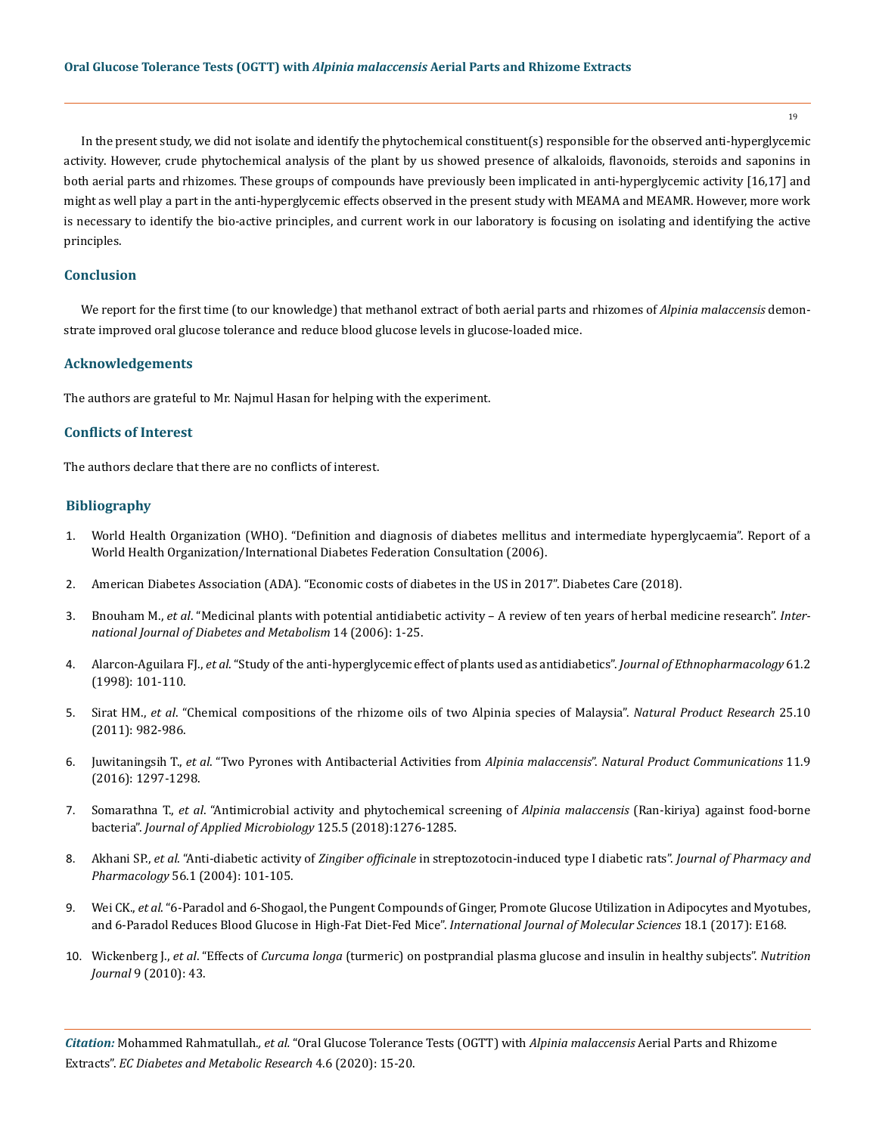19

In the present study, we did not isolate and identify the phytochemical constituent(s) responsible for the observed anti-hyperglycemic activity. However, crude phytochemical analysis of the plant by us showed presence of alkaloids, flavonoids, steroids and saponins in both aerial parts and rhizomes. These groups of compounds have previously been implicated in anti-hyperglycemic activity [16,17] and might as well play a part in the anti-hyperglycemic effects observed in the present study with MEAMA and MEAMR. However, more work is necessary to identify the bio-active principles, and current work in our laboratory is focusing on isolating and identifying the active principles.

#### **Conclusion**

We report for the first time (to our knowledge) that methanol extract of both aerial parts and rhizomes of *Alpinia malaccensis* demonstrate improved oral glucose tolerance and reduce blood glucose levels in glucose-loaded mice.

#### **Acknowledgements**

The authors are grateful to Mr. Najmul Hasan for helping with the experiment.

# **Conflicts of Interest**

The authors declare that there are no conflicts of interest.

## **Bibliography**

- 1. [World Health Organization \(WHO\). "Definition and diagnosis of diabetes mellitus and intermediate hyperglycaemia". Report of a](https://www.who.int/diabetes/publications/diagnosis_diabetes2006/en/)  [World Health Organization/International Diabetes Federation Consultation \(2006\).](https://www.who.int/diabetes/publications/diagnosis_diabetes2006/en/)
- 2. [American Diabetes Association \(ADA\). "Economic costs of diabetes in the US in 2017". Diabetes Care \(2018\).](https://pubmed.ncbi.nlm.nih.gov/29567642/)
- 3. Bnouham M., *et al*[. "Medicinal plants with potential antidiabetic activity A review of ten years of herbal medicine research".](https://www.researchgate.net/publication/228613044_Medicinal_plants_with_potential_antidiabetic_activity-A_review_of_ten_years_of_herbal_medicine_research_1990-2000) *Inter[national Journal of Diabetes and Metabolism](https://www.researchgate.net/publication/228613044_Medicinal_plants_with_potential_antidiabetic_activity-A_review_of_ten_years_of_herbal_medicine_research_1990-2000)* 14 (2006): 1-25.
- 4. Alarcon-Aguilara FJ., *et al*[. "Study of the anti-hyperglycemic effect of plants used as antidiabetics".](https://pubmed.ncbi.nlm.nih.gov/9683340/) *Journal of Ethnopharmacology* 61.2 [\(1998\): 101-110.](https://pubmed.ncbi.nlm.nih.gov/9683340/)
- 5. Sirat HM., *et al*[. "Chemical compositions of the rhizome oils of two Alpinia species of Malaysia".](https://pubmed.ncbi.nlm.nih.gov/21644178/) *Natural Product Research* 25.10 [\(2011\): 982-986.](https://pubmed.ncbi.nlm.nih.gov/21644178/)
- 6. Juwitaningsih T., *et al*[. "Two Pyrones with Antibacterial Activities from](https://journals.sagepub.com/doi/pdf/10.1177/1934578X1601100928) *Alpinia malaccensis*". *Natural Product Communications* 11.9 [\(2016\): 1297-1298.](https://journals.sagepub.com/doi/pdf/10.1177/1934578X1601100928)
- 7. Somarathna T., *et al*[. "Antimicrobial activity and phytochemical screening of](https://pubmed.ncbi.nlm.nih.gov/29972719/) *Alpinia malaccensis* (Ran-kiriya) against food-borne bacteria". *[Journal of Applied Microbiology](https://pubmed.ncbi.nlm.nih.gov/29972719/)* 125.5 (2018):1276-1285.
- 8. Akhani SP., *et al*. "Anti-diabetic activity of *Zingiber officinale* [in streptozotocin-induced type I diabetic rats".](https://www.researchgate.net/publication/5842795_Anti-diabetic_activity_of_Zingiber_officinale_in_Streptozotocin-induced_type_I_diabetic_rats) *Journal of Pharmacy and Pharmacology* [56.1 \(2004\): 101-105.](https://www.researchgate.net/publication/5842795_Anti-diabetic_activity_of_Zingiber_officinale_in_Streptozotocin-induced_type_I_diabetic_rats)
- 9. Wei CK., *et al*[. "6-Paradol and 6-Shogaol, the Pungent Compounds of Ginger, Promote Glucose Utilization in Adipocytes and Myotubes,](https://pubmed.ncbi.nlm.nih.gov/28106738/)  [and 6-Paradol Reduces Blood Glucose in High-Fat Diet-Fed Mice".](https://pubmed.ncbi.nlm.nih.gov/28106738/) *International Journal of Molecular Sciences* 18.1 (2017): E168.
- 10. Wickenberg J., *et al*. "Effects of *Curcuma longa* [\(turmeric\) on postprandial plasma glucose and insulin in healthy subjects".](https://nutritionj.biomedcentral.com/articles/10.1186/1475-2891-9-43) *Nutrition Journal* [9 \(2010\): 43.](https://nutritionj.biomedcentral.com/articles/10.1186/1475-2891-9-43)

*Citation:* Mohammed Rahmatullah*., et al.* "Oral Glucose Tolerance Tests (OGTT) with *Alpinia malaccensis* Aerial Parts and Rhizome Extracts". *EC Diabetes and Metabolic Research* 4.6 (2020): 15-20.